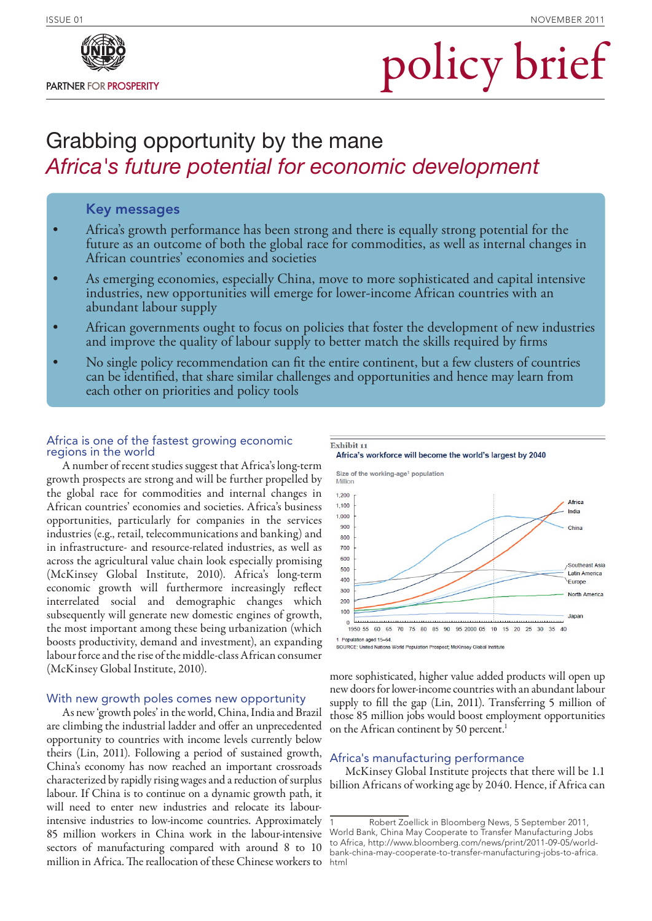# policy brief

## Grabbing opportunity by the mane *Africa's future potential for economic development*

## Key messages

- Africa's growth performance has been strong and there is equally strong potential for the future as an outcome of both the global race for commodities, as well as internal changes in African countries' economies and societies
- As emerging economies, especially China, move to more sophisticated and capital intensive industries, new opportunities will emerge for lower-income African countries with an abundant labour supply
- African governments ought to focus on policies that foster the development of new industries and improve the quality of labour supply to better match the skills required by firms
- No single policy recommendation can fit the entire continent, but a few clusters of countries<br>can be identified, that share similar challenges and opportunities and hence may learn from<br>each other on priorities and policy

Exhibit 11

## Africa is one of the fastest growing economic regions in the world

A number of recent studies suggest that Africa's long-term growth prospects are strong and will be further propelled by the global race for commodities and internal changes in African countries' economies and societies. Africa's business opportunities, particularly for companies in the services industries (e.g., retail, telecommunications and banking) and in infrastructure- and resource-related industries, as well as across the agricultural value chain look especially promising (McKinsey Global Institute, 2010). Africa's long-term economic growth will furthermore increasingly reflect interrelated social and demographic changes which subsequently will generate new domestic engines of growth, the most important among these being urbanization (which boosts productivity, demand and investment), an expanding labour force and the rise of the middle-class African consumer (McKinsey Global Institute, 2010).

## With new growth poles comes new opportunity

As new 'growth poles' in the world, China, India and Brazil are climbing the industrial ladder and offer an unprecedented opportunity to countries with income levels currently below theirs (Lin, 2011). Following a period of sustained growth, China's economy has now reached an important crossroads characterized by rapidly rising wages and a reduction of surplus labour. If China is to continue on a dynamic growth path, it will need to enter new industries and relocate its labourintensive industries to low-income countries. Approximately 85 million workers in China work in the labour-intensive sectors of manufacturing compared with around 8 to 10 million in Africa. The reallocation of these Chinese workers to





more sophisticated, higher value added products will open up new doors for lower-income countries with an abundant labour supply to fill the gap (Lin, 2011). Transferring 5 million of those 85 million jobs would boost employment opportunities on the African continent by 50 percent.<sup>1</sup>

## Africa's manufacturing performance

McKinsey Global Institute projects that there will be 1.1 billion Africans of working age by 2040. Hence, if Africa can

<sup>1</sup> Robert Zoellick in Bloomberg News, 5 September 2011, World Bank, China May Cooperate to Transfer Manufacturing Jobs to Africa, http://www.bloomberg.com/news/print/2011-09-05/worldbank-china-may-cooperate-to-transfer-manufacturing-jobs-to-africa. html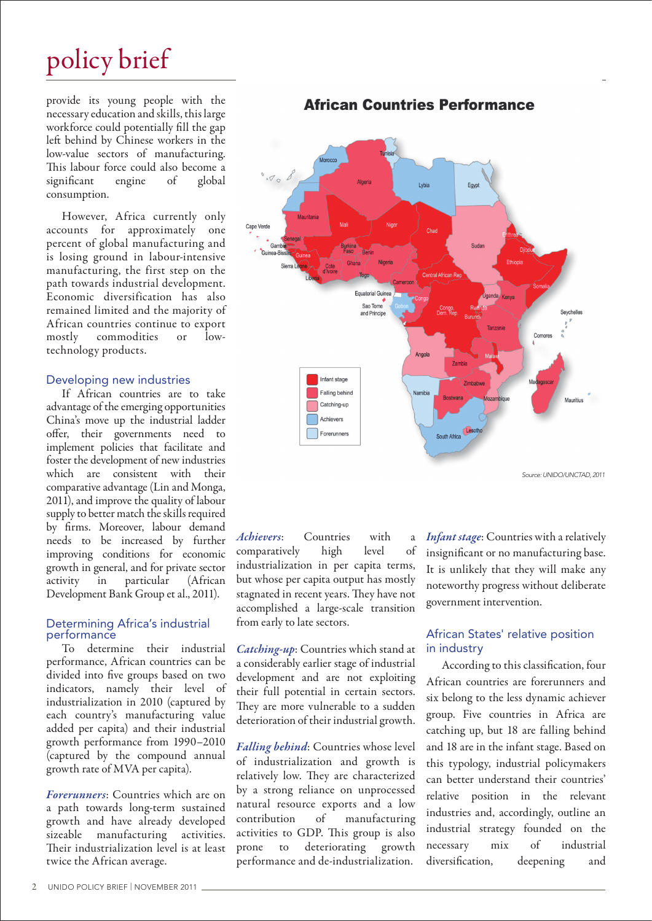# policy brief

provide its young people with the necessary education and skills, this large workforce could potentially fill the gap left behind by Chinese workers in the low-value sectors of manufacturing. This labour force could also become a significant engine of global consumption.

However, Africa currently only accounts for approximately one percent of global manufacturing and is losing ground in labour-intensive manufacturing, the first step on the path towards industrial development. Economic diversification has also remained limited and the majority of African countries continue to export mostly commodities or lowtechnology products.

## Developing new industries

If African countries are to take advantage of the emerging opportunities China's move up the industrial ladder offer, their governments need to implement policies that facilitate and foster the development of new industries which are consistent with their comparative advantage (Lin and Monga, 2011), and improve the quality of labour supply to better match the skills required by firms. Moreover, labour demand needs to be increased by further improving conditions for economic growth in general, and for private sector activity in particular (African Development Bank Group et al., 2011).

#### Determining Africa's industrial performance

To determine their industrial performance, African countries can be divided into five groups based on two indicators, namely their level of industrialization in 2010 (captured by each country's manufacturing value added per capita) and their industrial growth performance from 1990–2010 (captured by the compound annual growth rate of MVA per capita).

*Forerunners*: Countries which are on a path towards long-term sustained growth and have already developed sizeable manufacturing activities. Their industrialization level is at least twice the African average.

## **African Countries Performance**



*Source: UNIDO/UNCTAD, 2011*

*Achievers*: Countries with a comparatively high level of industrialization in per capita terms, but whose per capita output has mostly stagnated in recent years. They have not accomplished a large-scale transition from early to late sectors.

*Catching-up*: Countries which stand at a considerably earlier stage of industrial development and are not exploiting their full potential in certain sectors. They are more vulnerable to a sudden deterioration of their industrial growth.

*Falling behind*: Countries whose level of industrialization and growth is relatively low. They are characterized by a strong reliance on unprocessed natural resource exports and a low<br>contribution of manufacturing of manufacturing activities to GDP. This group is also prone to deteriorating growth performance and de-industrialization.

*Infant stage*: Countries with a relatively insignificant or no manufacturing base. It is unlikely that they will make any noteworthy progress without deliberate government intervention.

## African States' relative position in industry

According to this classification, four African countries are forerunners and six belong to the less dynamic achiever group. Five countries in Africa are catching up, but 18 are falling behind and 18 are in the infant stage. Based on this typology, industrial policymakers can better understand their countries' relative position in the relevant industries and, accordingly, outline an industrial strategy founded on the necessary mix of industrial diversification, deepening and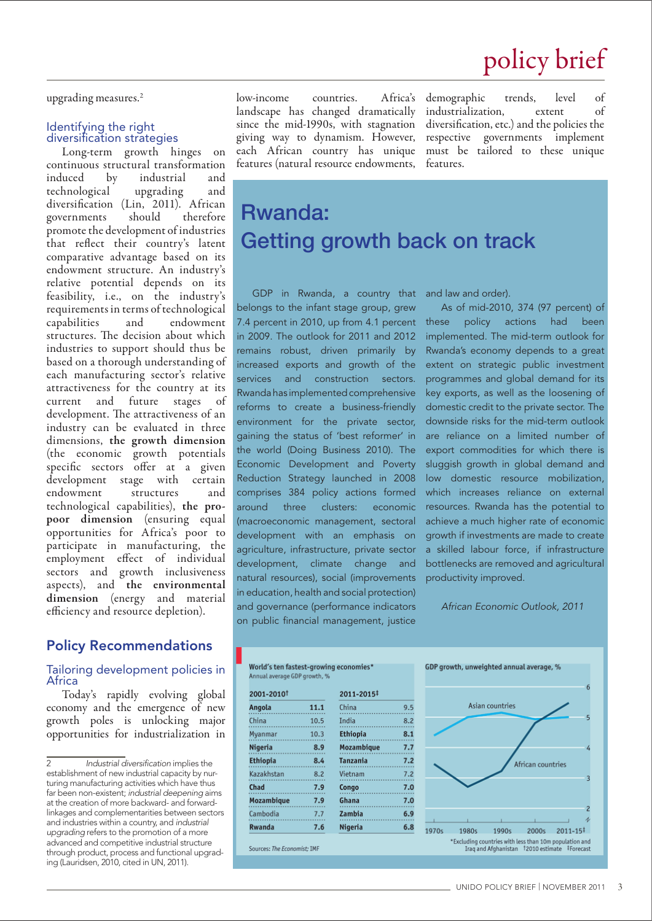upgrading measures.2

## Identifying the right diversification strategies

Long-term growth hinges on continuous structural transformation induced by industrial and technological upgrading and diversification (Lin, 2011). African<br>governments should therefore governments should promote the development of industries that reflect their country's latent comparative advantage based on its endowment structure. An industry's relative potential depends on its feasibility, i.e., on the industry's requirements in terms of technological capabilities and endowment structures. The decision about which industries to support should thus be based on a thorough understanding of each manufacturing sector's relative attractiveness for the country at its current and future stages of development. The attractiveness of an industry can be evaluated in three dimensions, the growth dimension (the economic growth potentials specific sectors offer at a given development stage with certain endowment structures and technological capabilities), the propoor dimension (ensuring equal opportunities for Africa's poor to participate in manufacturing, the employment effect of individual sectors and growth inclusiveness aspects), and the environmental dimension (energy and material efficiency and resource depletion).

## Policy Recommendations

## Tailoring development policies in Africa

Today's rapidly evolving global economy and the emergence of new growth poles is unlocking major opportunities for industrialization in

low-income countries. Africa's landscape has changed dramatically since the mid-1990s, with stagnation giving way to dynamism. However, each African country has unique features (natural resource endowments,

demographic trends, level of industrialization, extent of diversification, etc.) and the policies the respective governments implement must be tailored to these unique features.

# Rwanda: Getting growth back on track

GDP in Rwanda, a country that belongs to the infant stage group, grew 7.4 percent in 2010, up from 4.1 percent in 2009. The outlook for 2011 and 2012 remains robust, driven primarily by increased exports and growth of the services and construction sectors. Rwanda has implemented comprehensive reforms to create a business-friendly environment for the private sector, gaining the status of 'best reformer' in the world (Doing Business 2010). The Economic Development and Poverty Reduction Strategy launched in 2008 comprises 384 policy actions formed around three clusters: economic (macroeconomic management, sectoral development with an emphasis on agriculture, infrastructure, private sector development, climate change and natural resources), social (improvements in education, health and social protection) and governance (performance indicators on public financial management, justice

and law and order).

As of mid-2010, 374 (97 percent) of these policy actions had been implemented. The mid-term outlook for Rwanda's economy depends to a great extent on strategic public investment programmes and global demand for its key exports, as well as the loosening of domestic credit to the private sector. The downside risks for the mid-term outlook are reliance on a limited number of export commodities for which there is sluggish growth in global demand and low domestic resource mobilization, which increases reliance on external resources. Rwanda has the potential to achieve a much higher rate of economic growth if investments are made to create a skilled labour force, if infrastructure bottlenecks are removed and agricultural productivity improved.

*African Economic Outlook, 2011*





<sup>2</sup> *Industrial diversification* implies the establishment of new industrial capacity by nurturing manufacturing activities which have thus far been non-existent; *industrial deepening* aims at the creation of more backward- and forwardlinkages and complementarities between sectors and industries within a country, and *industrial upgrading* refers to the promotion of a more advanced and competitive industrial structure through product, process and functional upgrading (Lauridsen, 2010, cited in UN, 2011).